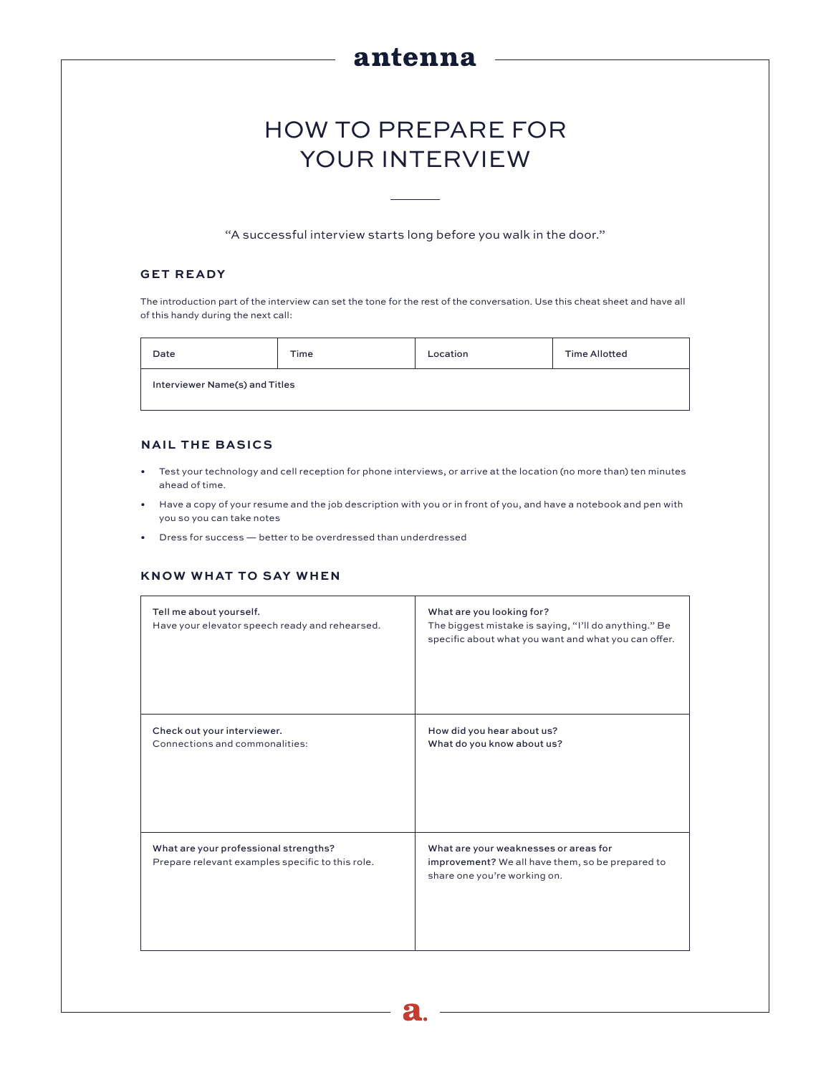# antenna

# HOW TO PREPARE FOR YOUR INTERVIEW

"A successful interview starts long before you walk in the door."

## **GET READY**

The introduction part of the interview can set the tone for the rest of the conversation. Use this cheat sheet and have all of this handy during the next call:

| Date                           | Time | Location | <b>Time Allotted</b> |  |
|--------------------------------|------|----------|----------------------|--|
| Interviewer Name(s) and Titles |      |          |                      |  |

#### **NAIL THE BASICS**

- Test your technology and cell reception for phone interviews, or arrive at the location (no more than) ten minutes ahead of time.
- Have a copy of your resume and the job description with you or in front of you, and have a notebook and pen with you so you can take notes
- Dress for success better to be overdressed than underdressed

#### **KNOW WHAT TO SAY WHEN**

| Tell me about yourself.<br>Have your elevator speech ready and rehearsed.                 | What are you looking for?<br>The biggest mistake is saying, "I'll do anything." Be<br>specific about what you want and what you can offer. |
|-------------------------------------------------------------------------------------------|--------------------------------------------------------------------------------------------------------------------------------------------|
| Check out your interviewer.<br>Connections and commonalities:                             | How did you hear about us?<br>What do you know about us?                                                                                   |
| What are your professional strengths?<br>Prepare relevant examples specific to this role. | What are your weaknesses or areas for<br>improvement? We all have them, so be prepared to<br>share one you're working on.                  |